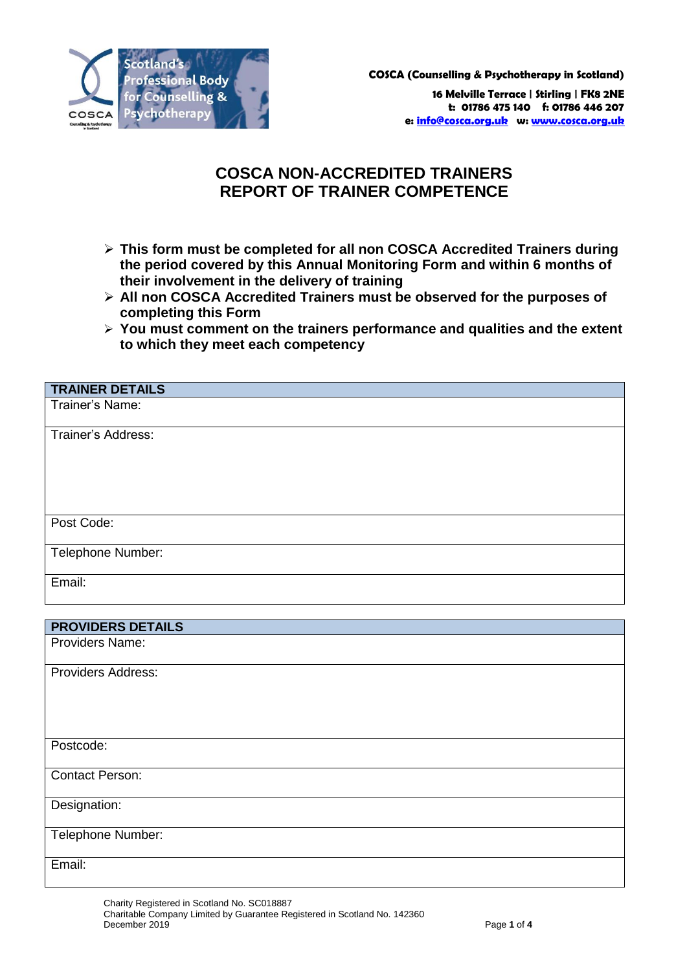

**COSCA (Counselling & Psychotherapy in Scotland)**

**16 Melville Terrace | Stirling | FK8 2NE t: 01786 475 140 f: 01786 446 207 e: [info@cosca.org.uk](mailto:info@cosca.org.uk) w[: www.cosca.org.uk](http://www.cosca.org.uk/)**

## **COSCA NON-ACCREDITED TRAINERS REPORT OF TRAINER COMPETENCE**

- **This form must be completed for all non COSCA Accredited Trainers during the period covered by this Annual Monitoring Form and within 6 months of their involvement in the delivery of training**
- **All non COSCA Accredited Trainers must be observed for the purposes of completing this Form**
- **You must comment on the trainers performance and qualities and the extent to which they meet each competency**

| <b>TRAINER DETAILS</b>   |
|--------------------------|
| Trainer's Name:          |
|                          |
| Trainer's Address:       |
|                          |
|                          |
|                          |
|                          |
|                          |
| Post Code:               |
|                          |
| Telephone Number:        |
|                          |
| Email:                   |
|                          |
|                          |
| <b>PROVIDERS DETAILS</b> |
| Providers Name:          |
|                          |
| Providers Address:       |
|                          |
|                          |
|                          |
|                          |
| Postcode:                |
|                          |
| <b>Contact Person:</b>   |
|                          |
| Designation:             |

Email:

Telephone Number: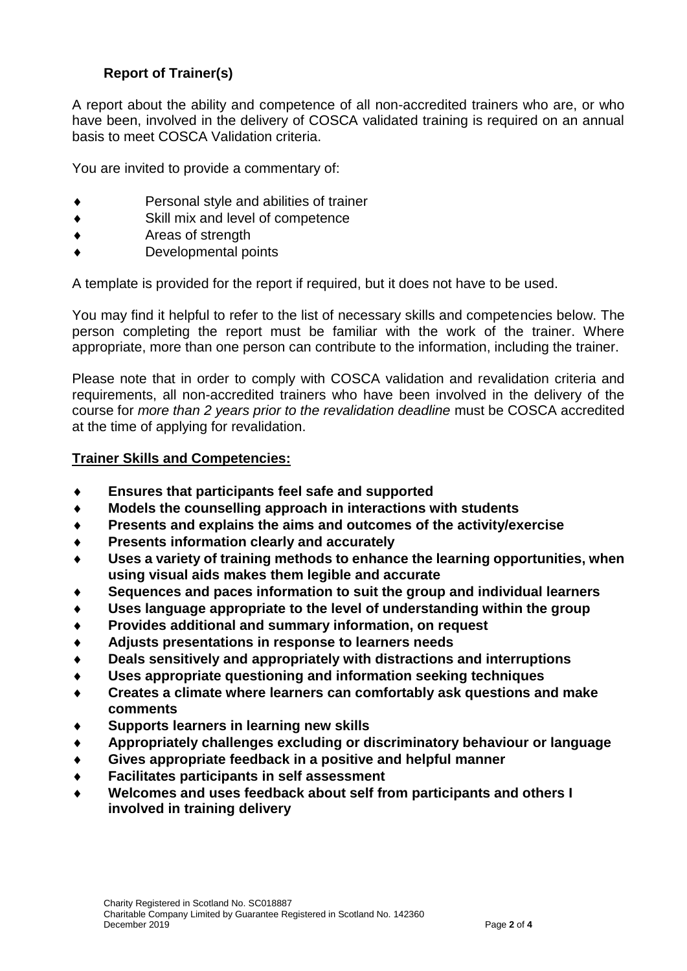## **Report of Trainer(s)**

A report about the ability and competence of all non-accredited trainers who are, or who have been, involved in the delivery of COSCA validated training is required on an annual basis to meet COSCA Validation criteria.

You are invited to provide a commentary of:

- Personal style and abilities of trainer
- Skill mix and level of competence
- Areas of strength
- Developmental points

A template is provided for the report if required, but it does not have to be used.

You may find it helpful to refer to the list of necessary skills and competencies below. The person completing the report must be familiar with the work of the trainer. Where appropriate, more than one person can contribute to the information, including the trainer.

Please note that in order to comply with COSCA validation and revalidation criteria and requirements, all non-accredited trainers who have been involved in the delivery of the course for *more than 2 years prior to the revalidation deadline* must be COSCA accredited at the time of applying for revalidation.

## **Trainer Skills and Competencies:**

- **Ensures that participants feel safe and supported**
- **Models the counselling approach in interactions with students**
- **Presents and explains the aims and outcomes of the activity/exercise**
- **Presents information clearly and accurately**
- **Uses a variety of training methods to enhance the learning opportunities, when using visual aids makes them legible and accurate**
- **Sequences and paces information to suit the group and individual learners**
- **Uses language appropriate to the level of understanding within the group**
- **Provides additional and summary information, on request**
- **Adjusts presentations in response to learners needs**
- **Deals sensitively and appropriately with distractions and interruptions**
- **Uses appropriate questioning and information seeking techniques**
- **Creates a climate where learners can comfortably ask questions and make comments**
- **Supports learners in learning new skills**
- **Appropriately challenges excluding or discriminatory behaviour or language**
- **Gives appropriate feedback in a positive and helpful manner**
- **Facilitates participants in self assessment**
- **Welcomes and uses feedback about self from participants and others I involved in training delivery**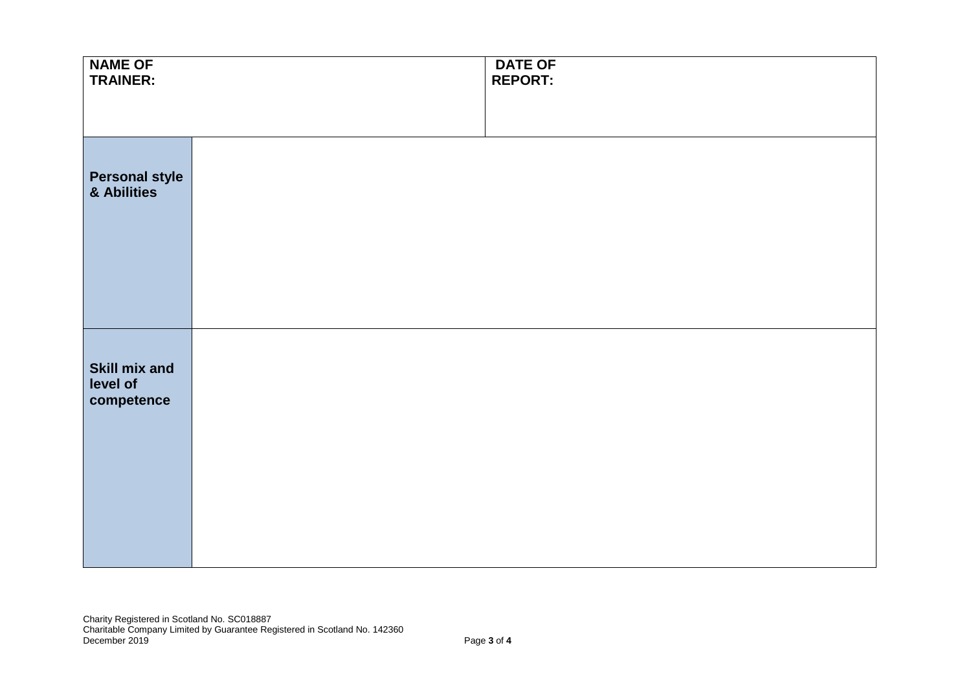| <b>NAME OF</b><br><b>TRAINER:</b>         |  | <b>DATE OF</b><br><b>REPORT:</b> |
|-------------------------------------------|--|----------------------------------|
|                                           |  |                                  |
| <b>Personal style<br/>&amp; Abilities</b> |  |                                  |
|                                           |  |                                  |
| Skill mix and<br>level of<br>competence   |  |                                  |
|                                           |  |                                  |